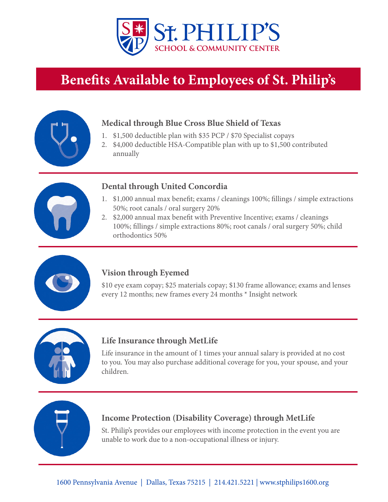

# **Benefits Available to Employees of St. Philip's**



## **Medical through Blue Cross Blue Shield of Texas**

- 1. \$1,500 deductible plan with \$35 PCP / \$70 Specialist copays
- 2. \$4,000 deductible HSA-Compatible plan with up to \$1,500 contributed annually



#### **Dental through United Concordia**

- 1. \$1,000 annual max benefit; exams / cleanings 100%; fillings / simple extractions 50%; root canals / oral surgery 20%
- 2. \$2,000 annual max benefit with Preventive Incentive; exams / cleanings 100%; fillings / simple extractions 80%; root canals / oral surgery 50%; child orthodontics 50%



## **Vision through Eyemed**

\$10 eye exam copay; \$25 materials copay; \$130 frame allowance; exams and lenses every 12 months; new frames every 24 months \* Insight network



#### **Life Insurance through MetLife**

Life insurance in the amount of 1 times your annual salary is provided at no cost to you. You may also purchase additional coverage for you, your spouse, and your children.



#### **Income Protection (Disability Coverage) through MetLife**

St. Philip's provides our employees with income protection in the event you are unable to work due to a non-occupational illness or injury.